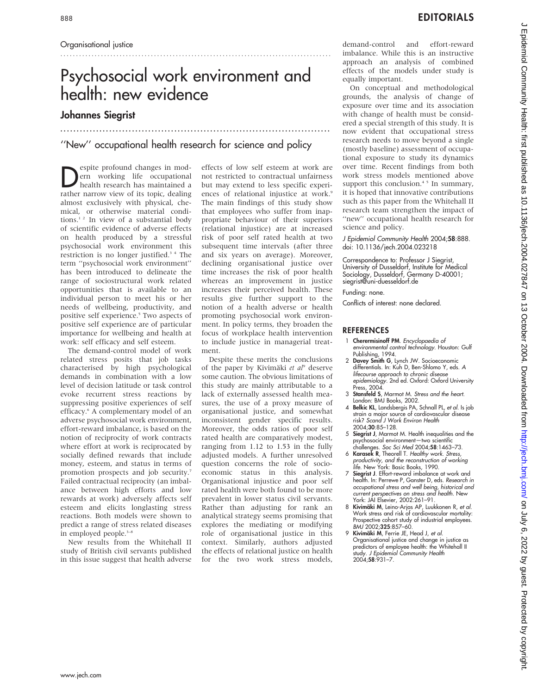### Organisational justice

## Psychosocial work environment and health: new evidence

.......................................................................................

## Johannes Siegrist

## ''New'' occupational health research for science and policy

...................................................................................

Sepite profound changes in modern<br>
health research has maintained a<br>
rather narrow view of its tonic dealing ern working life occupational health research has maintained a rather narrow view of its topic, dealing almost exclusively with physical, chemical, or otherwise material conditions.1 2 In view of a substantial body of scientific evidence of adverse effects on health produced by a stressful psychosocial work environment this restriction is no longer justified.<sup>34</sup> The term ''psychosocial work environment'' has been introduced to delineate the range of sociostructural work related opportunities that is available to an individual person to meet his or her needs of wellbeing, productivity, and positive self experience.<sup>5</sup> Two aspects of positive self experience are of particular importance for wellbeing and health at work: self efficacy and self esteem.

The demand-control model of work related stress posits that job tasks characterised by high psychological demands in combination with a low level of decision latitude or task control evoke recurrent stress reactions by suppressing positive experiences of self efficacy.6 A complementary model of an adverse psychosocial work environment, effort-reward imbalance, is based on the notion of reciprocity of work contracts where effort at work is reciprocated by socially defined rewards that include money, esteem, and status in terms of promotion prospects and job security.<sup>7</sup> Failed contractual reciprocity (an imbalance between high efforts and low rewards at work) adversely affects self esteem and elicits longlasting stress reactions. Both models were shown to predict a range of stress related diseases in employed people. $3-8$ 

New results from the Whitehall II study of British civil servants published in this issue suggest that health adverse effects of low self esteem at work are not restricted to contractual unfairness but may extend to less specific experiences of relational injustice at work.<sup>9</sup> The main findings of this study show that employees who suffer from inappropriate behaviour of their superiors (relational injustice) are at increased risk of poor self rated health at two subsequent time intervals (after three and six years on average). Moreover, declining organisational justice over time increases the risk of poor health whereas an improvement in justice increases their perceived health. These results give further support to the notion of a health adverse or health promoting psychosocial work environment. In policy terms, they broaden the focus of workplace health intervention to include justice in managerial treatment.

Despite these merits the conclusions of the paper by Kivimäki et al<sup>9</sup> deserve some caution. The obvious limitations of this study are mainly attributable to a lack of externally assessed health measures, the use of a proxy measure of organisational justice, and somewhat inconsistent gender specific results. Moreover, the odds ratios of poor self rated health are comparatively modest, ranging from 1.12 to 1.53 in the fully adjusted models. A further unresolved question concerns the role of socioeconomic status in this analysis. Organisational injustice and poor self rated health were both found to be more prevalent in lower status civil servants. Rather than adjusting for rank an analytical strategy seems promising that explores the mediating or modifying role of organisational justice in this context. Similarly, authors adjusted the effects of relational justice on health for the two work stress models,

demand-control and effort-reward imbalance. While this is an instructive approach an analysis of combined effects of the models under study is equally important.

On conceptual and methodological grounds, the analysis of change of exposure over time and its association with change of health must be considered a special strength of this study. It is now evident that occupational stress research needs to move beyond a single (mostly baseline) assessment of occupational exposure to study its dynamics over time. Recent findings from both work stress models mentioned above support this conclusion.<sup>45</sup> In summary, it is hoped that innovative contributions such as this paper from the Whitehall II research team strengthen the impact of ''new'' occupational health research for science and policy.

J Epidemiol Community Health 2004;58:888. doi: 10.1136/jech.2004.023218

Correspondence to: Professor J Siegrist, University of Dusseldorf, Institute for Medical Sociology, Dusseldorf, Germany D-40001; siegrist@uni-duesseldorf.de

Funding: none.

Conflicts of interest: none declared.

#### REFERENCES

- 1 **Cherermisinoff PM**. Encyclopaedia of environmental control technology. Houston: Gulf Publishing, 1994.
- 2 Davey Smith G, Lynch JW. Socioeconomic differentials. In: Kuh D, Ben-Shlomo Y, eds. A lifecourse approach to chronic disease epidemiology. 2nd ed. Oxford: Oxford University Press, 2004.
- 3 Stansfeld S, Marmot M. Stress and the heart. London: BMJ Books, 2002.
- 4 Belkic KL, Landsbergis PA, Schnall PL, et al. Is job strain a major source of cardiovascular disease risk? Scand J Work Environ Health 2004;30:85–128.
- 5 Siegrist J, Marmot M. Health inequalities and the psychosocial environment—two scientific
- challenges. *Soc Sci Med* 2004;**58**:1463–73.<br>6 **Karasek R**, Theorell T. Healthy work. Stress, productivity, and the reconstruction of working life. New York: Basic Books, 1990.
- 7 Siegrist J. Effort-reward imbalance at work and health. In: Perrewe P, Ganster D, eds. Research in occupational stress and well being, historical and current perspectives on stress and health. New York: JAI Elsevier, 2002:261–91.
- 8 Kivimäki M, Leino-Arjas AP, Luukkonen R, et al. Work stress and risk of cardiovascular mortality: Prospective cohort study of industrial employees. BMJ 2002;325:857–60.
- Kivimäki M, Ferrie JE, Head J, et al. Organisational justice and change in justice as<br>predictors of employee health: the Whitehall II<br>study. *J Epidemiol Community Health* 2004;58:931–7.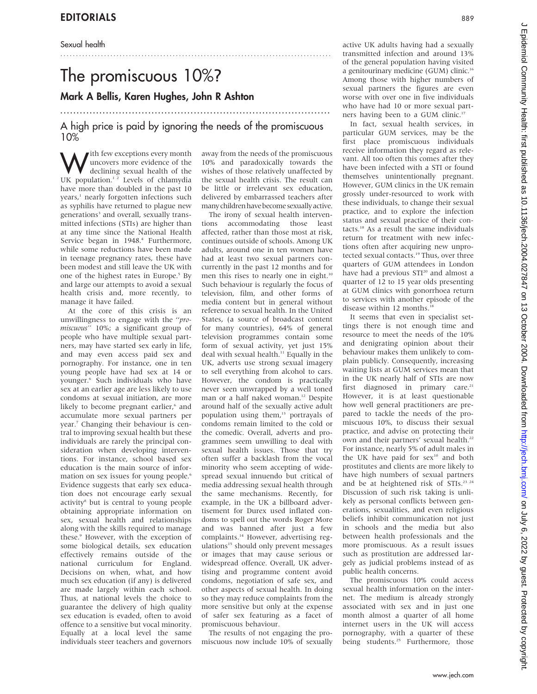#### Sexual health

## The promiscuous 10%?

## Mark A Bellis, Karen Hughes, John R Ashton

A high price is paid by ignoring the needs of the promiscuous 10%

...................................................................................

Ith few exceptions every month uncovers more evidence of the declining sexual health of the UK population. $12$  Levels of chlamydia have more than doubled in the past 10 years,<sup>1</sup> nearly forgotten infections such as syphilis have returned to plague new generations<sup>3</sup> and overall, sexually transmitted infections (STIs) are higher than at any time since the National Health Service began in 1948.<sup>4</sup> Furthermore, while some reductions have been made in teenage pregnancy rates, these have been modest and still leave the UK with one of the highest rates in Europe.<sup>5</sup> By and large our attempts to avoid a sexual health crisis and, more recently, to manage it have failed.

At the core of this crisis is an unwillingness to engage with the ''promiscuous'' 10%; a significant group of people who have multiple sexual partners, may have started sex early in life, and may even access paid sex and pornography. For instance, one in ten young people have had sex at 14 or younger.6 Such individuals who have sex at an earlier age are less likely to use condoms at sexual initiation, are more likely to become pregnant earlier,<sup>6</sup> and accumulate more sexual partners per year.7 Changing their behaviour is central to improving sexual health but these individuals are rarely the principal consideration when developing interventions. For instance, school based sex education is the main source of information on sex issues for young people.<sup>6</sup> Evidence suggests that early sex education does not encourage early sexual activity8 but is central to young people obtaining appropriate information on sex, sexual health and relationships along with the skills required to manage these.<sup>9</sup> However, with the exception of some biological details, sex education effectively remains outside of the national curriculum for England. Decisions on when, what, and how much sex education (if any) is delivered are made largely within each school. Thus, at national levels the choice to guarantee the delivery of high quality sex education is evaded, often to avoid offence to a sensitive but vocal minority. Equally at a local level the same individuals steer teachers and governors away from the needs of the promiscuous 10% and paradoxically towards the wishes of those relatively unaffected by the sexual health crisis. The result can be little or irrelevant sex education, delivered by embarrassed teachers after many children have become sexually active.

.......................................................................................

The irony of sexual health interventions accommodating those least affected, rather than those most at risk, continues outside of schools. Among UK adults, around one in ten women have had at least two sexual partners concurrently in the past 12 months and for men this rises to nearly one in eight.<sup>10</sup> Such behaviour is regularly the focus of television, film, and other forms of media content but in general without reference to sexual health. In the United States, (a source of broadcast content for many countries), 64% of general television programmes contain some form of sexual activity, yet just 15% deal with sexual health.<sup>11</sup> Equally in the UK, adverts use strong sexual imagery to sell everything from alcohol to cars. However, the condom is practically never seen unwrapped by a well toned man or a half naked woman.<sup>12</sup> Despite around half of the sexually active adult population using them, $13$  portrayals of condoms remain limited to the cold or the comedic. Overall, adverts and programmes seem unwilling to deal with sexual health issues. Those that try often suffer a backlash from the vocal minority who seem accepting of widespread sexual innuendo but critical of media addressing sexual health through the same mechanisms. Recently, for example, in the UK a billboard advertisement for Durex used inflated condoms to spell out the words Roger More and was banned after just a few complaints.14 However, advertising regulations<sup>15</sup> should only prevent messages or images that may cause serious or widespread offence. Overall, UK advertising and programme content avoid condoms, negotiation of safe sex, and other aspects of sexual health. In doing so they may reduce complaints from the more sensitive but only at the expense of safer sex featuring as a facet of promiscuous behaviour.

The results of not engaging the promiscuous now include 10% of sexually active UK adults having had a sexually transmitted infection and around 13% of the general population having visited a genitourinary medicine (GUM) clinic.<sup>16</sup> Among those with higher numbers of sexual partners the figures are even worse with over one in five individuals who have had 10 or more sexual partners having been to a GUM clinic.<sup>17</sup>

In fact, sexual health services, in particular GUM services, may be the first place promiscuous individuals receive information they regard as relevant. All too often this comes after they have been infected with a STI or found themselves unintentionally pregnant. However, GUM clinics in the UK remain grossly under-resourced to work with these individuals, to change their sexual practice, and to explore the infection status and sexual practice of their contacts.18 As a result the same individuals return for treatment with new infections often after acquiring new unprotected sexual contacts.<sup>19</sup> Thus, over three quarters of GUM attendees in London have had a previous STI<sup>20</sup> and almost a quarter of 12 to 15 year olds presenting at GUM clinics with gonorrhoea return to services with another episode of the disease within 12 months.<sup>18</sup>

It seems that even in specialist settings there is not enough time and resource to meet the needs of the 10% and denigrating opinion about their behaviour makes them unlikely to complain publicly. Consequently, increasing waiting lists at GUM services mean that in the UK nearly half of STIs are now first diagnosed in primary care.<sup>21</sup> However, it is at least questionable how well general practitioners are prepared to tackle the needs of the promiscuous 10%, to discuss their sexual practice, and advise on protecting their own and their partners' sexual health.<sup>22</sup> For instance, nearly 5% of adult males in the UK have paid for sex<sup>10</sup> and both prostitutes and clients are more likely to have high numbers of sexual partners and be at heightened risk of  $STIs.<sup>23,24</sup>$ Discussion of such risk taking is unlikely as personal conflicts between generations, sexualities, and even religious beliefs inhibit communication not just in schools and the media but also between health professionals and the more promiscuous. As a result issues such as prostitution are addressed largely as judicial problems instead of as public health concerns.

The promiscuous 10% could access sexual health information on the internet. The medium is already strongly associated with sex and in just one month almost a quarter of all home internet users in the UK will access pornography, with a quarter of these being students.<sup>25</sup> Furthermore, those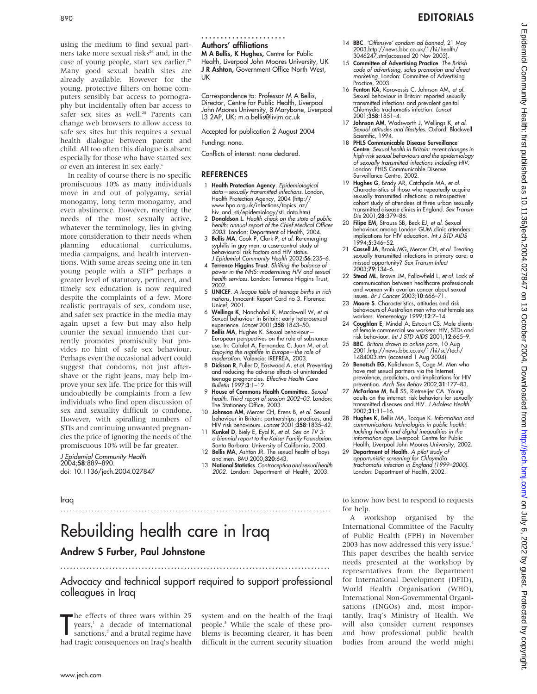using the medium to find sexual partners take more sexual risks<sup>26</sup> and, in the case of young people, start sex earlier.<sup>27</sup> Many good sexual health sites are already available. However for the young, protective filters on home computers sensibly bar access to pornography but incidentally often bar access to safer sex sites as well.<sup>28</sup> Parents can change web browsers to allow access to safe sex sites but this requires a sexual health dialogue between parent and child. All too often this dialogue is absent especially for those who have started sex or even an interest in sex early.<sup>6</sup>

In reality of course there is no specific promiscuous 10% as many individuals move in and out of polygamy, serial monogamy, long term monogamy, and even abstinence. However, meeting the needs of the most sexually active, whatever the terminology, lies in giving more consideration to their needs when planning educational curriculums, media campaigns, and health interventions. With some areas seeing one in ten young people with a STI<sup>29</sup> perhaps a greater level of statutory, pertinent, and timely sex education is now required despite the complaints of a few. More realistic portrayals of sex, condom use, and safer sex practice in the media may again upset a few but may also help counter the sexual innuendo that currently promotes promiscuity but provides no hint of safe sex behaviour. Perhaps even the occasional advert could suggest that condoms, not just aftershave or the right jeans, may help improve your sex life. The price for this will undoubtedly be complaints from a few individuals who find open discussion of sex and sexuality difficult to condone. However, with spiralling numbers of STIs and continuing unwanted pregnancies the price of ignoring the needs of the promiscuous 10% will be far greater.

### J Epidemiol Community Health 2004;58:889–890. doi: 10.1136/jech.2004.027847

## ......................

## Authors' affiliations

M A Bellis, K Hughes, Centre for Public Health, Liverpool John Moores University, UK J R Ashton, Government Office North West, UK

Correspondence to: Professor M A Bellis, Director, Centre for Public Health, Liverpool John Moores University, 8 Marybone, Liverpool L3 2AP, UK; m.a.bellis@livjm.ac.uk

Accepted for publication 2 August 2004

#### Funding: none.

Conflicts of interest: none declared.

#### **REFERENCES**

- 1 Health Protection Agency. Epidemiological data—sexually transmitted infections. London, Health Protection Agency, 2004 (http:// www.hpa.org.uk/infections/topics\_az/ hiv\_and\_sti/epidemiology/sti\_data.htm).
- 2 Donaldson L. Health check on the state of public health: annual report of the Chief Medical Officer 2003. London: Department of Health, 2004.
- 3 Bellis MA, Cook P, Clark P, et al. Re-emerging syphilis in gay men: a case-control study of behavioural risk factors and HIV status. J Epidemiol Community Health 2002;56:235–6.
- 4 Terrence Higgins Trust. Shifting the balance of power in the NHS: modernising HIV and sexual health services. London: Terrence Higgins Trust, 2002.
- 5 UNICEF. A league table of teenage births in rich nations, Innocenti Report Card no 3. Florence: Unicef, 2001.
- 6 Wellings K, Nanchahal K, Macdowall W, et al. Sexual behaviour in Britain: early heterosexual experience. Lancet 2001;358:1843–50.
- 7 Bellis MA, Hughes K. Sexual behaviour— European perspectives on the role of substance<br>use. In: Calafat A, Fernandez C, Juan M, *et al.* Enjoying the nightlife in Europe—the role of moderation. Valencia: IREFREA, 2003.
- 8 Dickson R, Fuller D, Eastwood A, et al. Preventing and reducing the adverse effects of unintended teenage pregnancies. Effective Health Care Bulletin 1997;3:1–12.
- 9 House of Commons Health Committee. Sexual health. Third report of session 2002–03. London: The Stationery Office, 2003.
- Johnson AM, Mercer CH, Erens B, et al. Sexual behaviour in Britain: partnerships, practices, and HIV risk behaviours. Lancet 2001;358:1835–42.
- 11 Kunkel D, Biely E, Eyal K, et al. Sex on TV 3: a biennial report to the Kaiser Family Foundation.
- Santa Barbara: University of California, 2003. 12 Bellis MA, Ashton JR. The sexual health of boys and men. BMJ 2000:320:643.
- 13 National Statistics. Contraception and sexual health 2002. London: Department of Health, 2003.

#### 14 BBC. 'Offensive' condom ad banned, 21 May 2003.http://news.bbc.co.uk/1/hi/health/ 3046247.stm(accessed 20 Nov 2003).

- 15 Committee of Advertising Practice. The British code of advertising, sales promotion and direct marketing. London: Committee of Advertising Practice, 2003.
- 16 Fenton KA, Korovessis C, Johnson AM, et al. Sexual behaviour in Britain: reported sexually transmitted infections and prevalent genital Chlamydia trachomatis infection. Lancet 2001;358:1851–4.
- 17 Johnson AM, Wadsworth J, Wellings K, et al. Sexual attitudes and lifestyles. Oxford: Blackwell Scientific, 1994.
- 18 PHLS Communicable Disease Surveillance Centre. Sexual health in Britain: recent changes in high-risk sexual behaviours and the epidemiology of sexually transmitted infections including HIV. London: PHLS Communicable Disease Surveillance Centre, 2002.
- 19 Hughes G, Brady AR, Catchpole MA, et al. Characteristics of those who repeatedly acquire sexually transmitted infections: a retrospective cohort study of attendees at three urban sexually transmitted disease clinics in England. Sex Transm Dis 2001;28:379-86.
- 20 Filipe EM, Strauss SB, Beck EJ, et al. Sexual behaviour among London GUM clinic attenders: implications for HIV education. Int J STD AIDS 1994;5:346–52.
- 21 Cassell JA, Brook MG, Mercer CH, et al. Treating sexually transmitted infections in primary care: a missed opportunity? Sex Transm Infect 2003;79:134–6.
- 22 Stead ML, Brown JM, Fallowfield L, et al. Lack of communication between healthcare professionals and women with ovarian cancer about sexual issues. Br J Cancer 2003;10:666–71.
- 23 Moore S. Characteristics, attitudes and risk behaviours of Australian men who visit female sex workers. Venereology 1999;12:7-14.
- 24 Coughlan E, Mindel A, Estcourt CS. Male clients of female commercial sex workers: HIV, STDs and risk behaviour. Int J STD AIDS 2001;12:665–9.
- 25 BBC. Britons drawn to online porn, 10 Aug 2001.http://news.bbc.co.uk/1/hi/sci/tech/ 1484003.stm (accessed 1 Aug 2004).
- 26 Benotsch EG, Kalichman S, Cage M. Men who have met sexual partners via the Internet: prevalence, predictors, and implications for HIV prevention. Arch Sex Behav 2002;31:177–83.
- 27 McFarlane M, Bull SS, Rietmeijer CA. Young adults on the internet: risk behaviors for sexually transmitted diseases and HIV. J Adolesc Health 2002;31:11–16.
- 28 Hughes K, Bellis MA, Tocque K. Information and communications technologies in public health: tackling health and digital inequalities in the information age. Liverpool: Centre for Public Health, Liverpool John Moores University, 2002.
- 29 Department of Health. A pilot study of opportunistic screening for Chlaymdia trachomatis infection in England (1999–2000). London: Department of Health, 2002.

to know how best to respond to requests for help.

A workshop organised by the International Committee of the Faculty of Public Health (FPH) in November 2003 has now addressed this very issue.<sup>4</sup> This paper describes the health service needs presented at the workshop by representatives from the Department for International Development (DFID), World Health Organisation (WHO), International Non-Governmental Organisations (INGOs) and, most importantly, Iraq's Ministry of Health. We will also consider current responses and how professional public health bodies from around the world might

Iraq

# Rebuilding health care in Iraq

## Andrew S Furber, Paul Johnstone

## Advocacy and technical support required to support professional colleagues in Iraq

...................................................................................

The effects of three wars within 25<br>
years,<sup>1</sup> a decade of international<br>
sanctions,<sup>2</sup> and a brutal regime have<br>
had tragic consequences on Iraq's health he effects of three wars within 25 years,<sup>1</sup> a decade of international sanctions,<sup>2</sup> and a brutal regime have

system and on the health of the Iraqi people.3 While the scale of these problems is becoming clearer, it has been difficult in the current security situation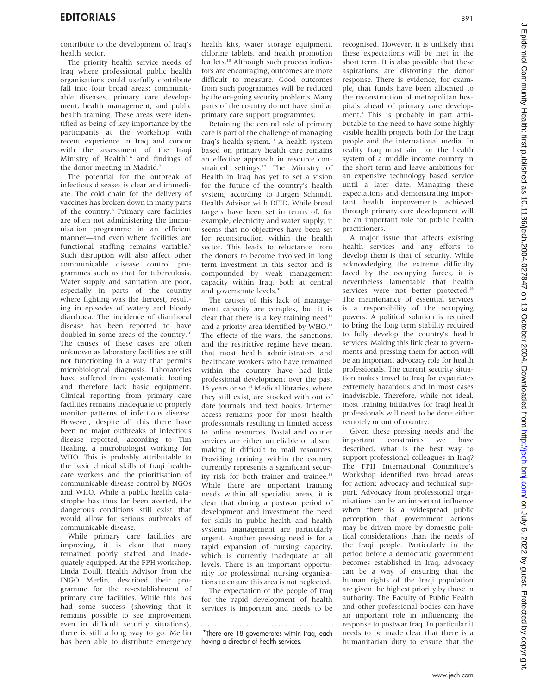contribute to the development of Iraq's health sector.

The priority health service needs of Iraq where professional public health organisations could usefully contribute fall into four broad areas: communicable diseases, primary care development, health management, and public health training. These areas were identified as being of key importance by the participants at the workshop with recent experience in Iraq and concur with the assessment of the Iraqi Ministry of Health<sup>5 6</sup> and findings of the donor meeting in Madrid.<sup>7</sup>

The potential for the outbreak of infectious diseases is clear and immediate. The cold chain for the delivery of vaccines has broken down in many parts of the country.8 Primary care facilities are often not administering the immunisation programme in an efficient manner—and even where facilities are functional staffing remains variable.<sup>9</sup> Such disruption will also affect other communicable disease control programmes such as that for tuberculosis. Water supply and sanitation are poor, especially in parts of the country where fighting was the fiercest, resulting in episodes of watery and bloody diarrhoea. The incidence of diarrhoeal disease has been reported to have doubled in some areas of the country.10 The causes of these cases are often unknown as laboratory facilities are still not functioning in a way that permits microbiological diagnosis. Laboratories have suffered from systematic looting and therefore lack basic equipment. Clinical reporting from primary care facilities remains inadequate to properly monitor patterns of infectious disease. However, despite all this there have been no major outbreaks of infectious disease reported, according to Tim Healing, a microbiologist working for WHO. This is probably attributable to the basic clinical skills of Iraqi healthcare workers and the prioritisation of communicable disease control by NGOs and WHO. While a public health catastrophe has thus far been averted, the dangerous conditions still exist that would allow for serious outbreaks of communicable disease.

While primary care facilities are improving, it is clear that many remained poorly staffed and inadequately equipped. At the FPH workshop, Linda Doull, Health Advisor from the INGO Merlin, described their programme for the re-establishment of primary care facilities. While this has had some success (showing that it remains possible to see improvement even in difficult security situations), there is still a long way to go. Merlin has been able to distribute emergency health kits, water storage equipment, chlorine tablets, and health promotion leaflets.10 Although such process indicators are encouraging, outcomes are more difficult to measure. Good outcomes from such programmes will be reduced by the on-going security problems. Many parts of the country do not have similar primary care support programmes.

Retaining the central role of primary care is part of the challenge of managing Iraq's health system.<sup>11</sup> A health system based on primary health care remains an effective approach in resource constrained settings.<sup>12</sup> The Ministry of Health in Iraq has yet to set a vision for the future of the country's health system, according to Jürgen Schmidt, Health Advisor with DFID. While broad targets have been set in terms of, for example, electricity and water supply, it seems that no objectives have been set for reconstruction within the health sector. This leads to reluctance from the donors to become involved in long term investment in this sector and is compounded by weak management capacity within Iraq, both at central and governerate levels.\*

The causes of this lack of management capacity are complex, but it is clear that there is a key training need<sup>11</sup> and a priority area identified by WHO.<sup>13</sup> The effects of the wars, the sanctions, and the restrictive regime have meant that most health administrators and healthcare workers who have remained within the country have had little professional development over the past 15 years or so.<sup>14</sup> Medical libraries, where they still exist, are stocked with out of date journals and text books. Internet access remains poor for most health professionals resulting in limited access to online resources. Postal and courier services are either unreliable or absent making it difficult to mail resources. Providing training within the country currently represents a significant security risk for both trainer and trainee.<sup>15</sup> While there are important training needs within all specialist areas, it is clear that during a postwar period of development and investment the need for skills in public health and health systems management are particularly urgent. Another pressing need is for a rapid expansion of nursing capacity, which is currently inadequate at all levels. There is an important opportunity for professional nursing organisations to ensure this area is not neglected.

The expectation of the people of Iraq for the rapid development of health services is important and needs to be recognised. However, it is unlikely that these expectations will be met in the short term. It is also possible that these aspirations are distorting the donor response. There is evidence, for example, that funds have been allocated to the reconstruction of metropolitan hospitals ahead of primary care development.<sup>2</sup> This is probably in part attributable to the need to have some highly visible health projects both for the Iraqi people and the international media. In reality Iraq must aim for the health system of a middle income country in the short term and leave ambitions for an expensive technology based service until a later date. Managing these expectations and demonstrating important health improvements achieved through primary care development will be an important role for public health practitioners.

A major issue that affects existing health services and any efforts to develop them is that of security. While acknowledging the extreme difficulty faced by the occupying forces, it is nevertheless lamentable that health services were not better protected.<sup>16</sup> The maintenance of essential services is a responsibility of the occupying powers. A political solution is required to bring the long term stability required to fully develop the country's health services. Making this link clear to governments and pressing them for action will be an important advocacy role for health professionals. The current security situation makes travel to Iraq for expatriates extremely hazardous and in most cases inadvisable. Therefore, while not ideal, most training initiatives for Iraqi health professionals will need to be done either remotely or out of country.

Given these pressing needs and the important constraints we have described, what is the best way to support professional colleagues in Iraq? The FPH International Committee's Workshop identified two broad areas for action: advocacy and technical support. Advocacy from professional organisations can be an important influence when there is a widespread public perception that government actions may be driven more by domestic political considerations than the needs of the Iraqi people. Particularly in the period before a democratic government becomes established in Iraq, advocacy can be a way of ensuring that the human rights of the Iraqi population are given the highest priority by those in authority. The Faculty of Public Health and other professional bodies can have an important role in influencing the response to postwar Iraq. In particular it needs to be made clear that there is a humanitarian duty to ensure that the

<sup>\*</sup>There are 18 governerates within Iraq, each having a director of health services.